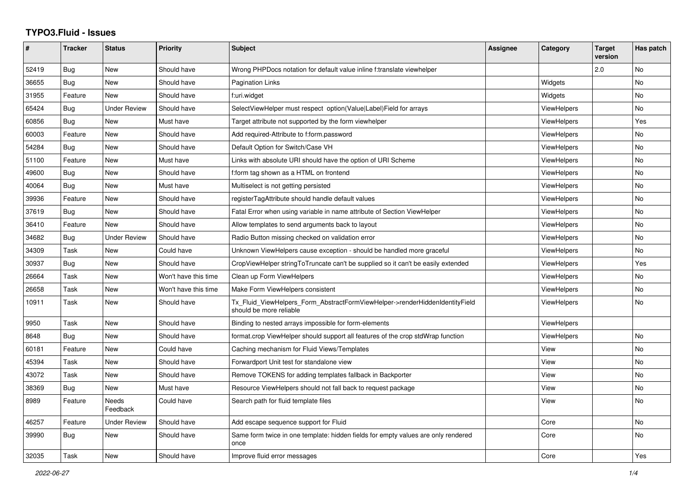## **TYPO3.Fluid - Issues**

| #     | <b>Tracker</b> | <b>Status</b>            | <b>Priority</b>      | <b>Subject</b>                                                                                         | Assignee | Category           | <b>Target</b><br>version | Has patch |
|-------|----------------|--------------------------|----------------------|--------------------------------------------------------------------------------------------------------|----------|--------------------|--------------------------|-----------|
| 52419 | Bug            | New                      | Should have          | Wrong PHPDocs notation for default value inline f:translate viewhelper                                 |          |                    | 2.0                      | No        |
| 36655 | Bug            | <b>New</b>               | Should have          | Pagination Links                                                                                       |          | Widgets            |                          | No        |
| 31955 | Feature        | <b>New</b>               | Should have          | f:uri.widget                                                                                           |          | Widgets            |                          | No        |
| 65424 | Bug            | <b>Under Review</b>      | Should have          | SelectViewHelper must respect option(Value Label)Field for arrays                                      |          | ViewHelpers        |                          | No        |
| 60856 | Bug            | New                      | Must have            | Target attribute not supported by the form viewhelper                                                  |          | <b>ViewHelpers</b> |                          | Yes       |
| 60003 | Feature        | New                      | Should have          | Add required-Attribute to f:form.password                                                              |          | <b>ViewHelpers</b> |                          | No        |
| 54284 | <b>Bug</b>     | <b>New</b>               | Should have          | Default Option for Switch/Case VH                                                                      |          | ViewHelpers        |                          | <b>No</b> |
| 51100 | Feature        | New                      | Must have            | Links with absolute URI should have the option of URI Scheme                                           |          | ViewHelpers        |                          | <b>No</b> |
| 49600 | Bug            | New                      | Should have          | f:form tag shown as a HTML on frontend                                                                 |          | ViewHelpers        |                          | <b>No</b> |
| 40064 | Bug            | New                      | Must have            | Multiselect is not getting persisted                                                                   |          | ViewHelpers        |                          | No        |
| 39936 | Feature        | New                      | Should have          | registerTagAttribute should handle default values                                                      |          | <b>ViewHelpers</b> |                          | No        |
| 37619 | Bug            | New                      | Should have          | Fatal Error when using variable in name attribute of Section ViewHelper                                |          | <b>ViewHelpers</b> |                          | <b>No</b> |
| 36410 | Feature        | <b>New</b>               | Should have          | Allow templates to send arguments back to layout                                                       |          | ViewHelpers        |                          | No        |
| 34682 | Bug            | <b>Under Review</b>      | Should have          | Radio Button missing checked on validation error                                                       |          | ViewHelpers        |                          | No        |
| 34309 | Task           | New                      | Could have           | Unknown ViewHelpers cause exception - should be handled more graceful                                  |          | <b>ViewHelpers</b> |                          | No        |
| 30937 | <b>Bug</b>     | New                      | Should have          | CropViewHelper stringToTruncate can't be supplied so it can't be easily extended                       |          | ViewHelpers        |                          | Yes       |
| 26664 | Task           | New                      | Won't have this time | Clean up Form ViewHelpers                                                                              |          | ViewHelpers        |                          | No        |
| 26658 | Task           | New                      | Won't have this time | Make Form ViewHelpers consistent                                                                       |          | <b>ViewHelpers</b> |                          | No        |
| 10911 | Task           | New                      | Should have          | Tx_Fluid_ViewHelpers_Form_AbstractFormViewHelper->renderHiddenIdentityField<br>should be more reliable |          | ViewHelpers        |                          | No        |
| 9950  | Task           | New                      | Should have          | Binding to nested arrays impossible for form-elements                                                  |          | ViewHelpers        |                          |           |
| 8648  | Bug            | <b>New</b>               | Should have          | format.crop ViewHelper should support all features of the crop stdWrap function                        |          | ViewHelpers        |                          | <b>No</b> |
| 60181 | Feature        | New                      | Could have           | Caching mechanism for Fluid Views/Templates                                                            |          | View               |                          | <b>No</b> |
| 45394 | Task           | New                      | Should have          | Forwardport Unit test for standalone view                                                              |          | View               |                          | <b>No</b> |
| 43072 | Task           | New                      | Should have          | Remove TOKENS for adding templates fallback in Backporter                                              |          | View               |                          | No        |
| 38369 | Bug            | <b>New</b>               | Must have            | Resource ViewHelpers should not fall back to request package                                           |          | View               |                          | <b>No</b> |
| 8989  | Feature        | <b>Needs</b><br>Feedback | Could have           | Search path for fluid template files                                                                   |          | View               |                          | No        |
| 46257 | Feature        | <b>Under Review</b>      | Should have          | Add escape sequence support for Fluid                                                                  |          | Core               |                          | <b>No</b> |
| 39990 | Bug            | New                      | Should have          | Same form twice in one template: hidden fields for empty values are only rendered<br>once              |          | Core               |                          | No        |
| 32035 | Task           | New                      | Should have          | Improve fluid error messages                                                                           |          | Core               |                          | Yes       |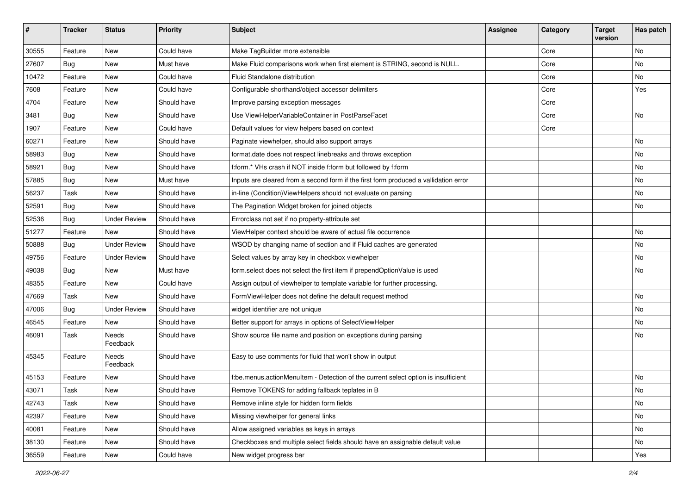| $\sharp$ | <b>Tracker</b> | <b>Status</b>       | <b>Priority</b> | Subject                                                                              | <b>Assignee</b> | Category | <b>Target</b><br>version | Has patch |
|----------|----------------|---------------------|-----------------|--------------------------------------------------------------------------------------|-----------------|----------|--------------------------|-----------|
| 30555    | Feature        | New                 | Could have      | Make TagBuilder more extensible                                                      |                 | Core     |                          | <b>No</b> |
| 27607    | Bug            | New                 | Must have       | Make Fluid comparisons work when first element is STRING, second is NULL.            |                 | Core     |                          | No        |
| 10472    | Feature        | New                 | Could have      | Fluid Standalone distribution                                                        |                 | Core     |                          | No        |
| 7608     | Feature        | New                 | Could have      | Configurable shorthand/object accessor delimiters                                    |                 | Core     |                          | Yes       |
| 4704     | Feature        | New                 | Should have     | Improve parsing exception messages                                                   |                 | Core     |                          |           |
| 3481     | Bug            | <b>New</b>          | Should have     | Use ViewHelperVariableContainer in PostParseFacet                                    |                 | Core     |                          | <b>No</b> |
| 1907     | Feature        | New                 | Could have      | Default values for view helpers based on context                                     |                 | Core     |                          |           |
| 60271    | Feature        | New                 | Should have     | Paginate viewhelper, should also support arrays                                      |                 |          |                          | No        |
| 58983    | Bug            | New                 | Should have     | format.date does not respect linebreaks and throws exception                         |                 |          |                          | No        |
| 58921    | Bug            | New                 | Should have     | f:form.* VHs crash if NOT inside f:form but followed by f:form                       |                 |          |                          | No        |
| 57885    | Bug            | New                 | Must have       | Inputs are cleared from a second form if the first form produced a vallidation error |                 |          |                          | No        |
| 56237    | Task           | New                 | Should have     | in-line (Condition) View Helpers should not evaluate on parsing                      |                 |          |                          | No        |
| 52591    | Bug            | <b>New</b>          | Should have     | The Pagination Widget broken for joined objects                                      |                 |          |                          | No        |
| 52536    | Bug            | <b>Under Review</b> | Should have     | Errorclass not set if no property-attribute set                                      |                 |          |                          |           |
| 51277    | Feature        | <b>New</b>          | Should have     | ViewHelper context should be aware of actual file occurrence                         |                 |          |                          | No        |
| 50888    | Bug            | <b>Under Review</b> | Should have     | WSOD by changing name of section and if Fluid caches are generated                   |                 |          |                          | No        |
| 49756    | Feature        | <b>Under Review</b> | Should have     | Select values by array key in checkbox viewhelper                                    |                 |          |                          | No        |
| 49038    | Bug            | New                 | Must have       | form.select does not select the first item if prependOptionValue is used             |                 |          |                          | No        |
| 48355    | Feature        | <b>New</b>          | Could have      | Assign output of viewhelper to template variable for further processing.             |                 |          |                          |           |
| 47669    | Task           | New                 | Should have     | FormViewHelper does not define the default request method                            |                 |          |                          | No        |
| 47006    | Bug            | <b>Under Review</b> | Should have     | widget identifier are not unique                                                     |                 |          |                          | No        |
| 46545    | Feature        | New                 | Should have     | Better support for arrays in options of SelectViewHelper                             |                 |          |                          | No        |
| 46091    | Task           | Needs<br>Feedback   | Should have     | Show source file name and position on exceptions during parsing                      |                 |          |                          | No        |
| 45345    | Feature        | Needs<br>Feedback   | Should have     | Easy to use comments for fluid that won't show in output                             |                 |          |                          |           |
| 45153    | Feature        | New                 | Should have     | f:be.menus.actionMenuItem - Detection of the current select option is insufficient   |                 |          |                          | No        |
| 43071    | Task           | New                 | Should have     | Remove TOKENS for adding fallback teplates in B                                      |                 |          |                          | No        |
| 42743    | Task           | New                 | Should have     | Remove inline style for hidden form fields                                           |                 |          |                          | No        |
| 42397    | Feature        | New                 | Should have     | Missing viewhelper for general links                                                 |                 |          |                          | No        |
| 40081    | Feature        | New                 | Should have     | Allow assigned variables as keys in arrays                                           |                 |          |                          | No        |
| 38130    | Feature        | New                 | Should have     | Checkboxes and multiple select fields should have an assignable default value        |                 |          |                          | No        |
| 36559    | Feature        | New                 | Could have      | New widget progress bar                                                              |                 |          |                          | Yes       |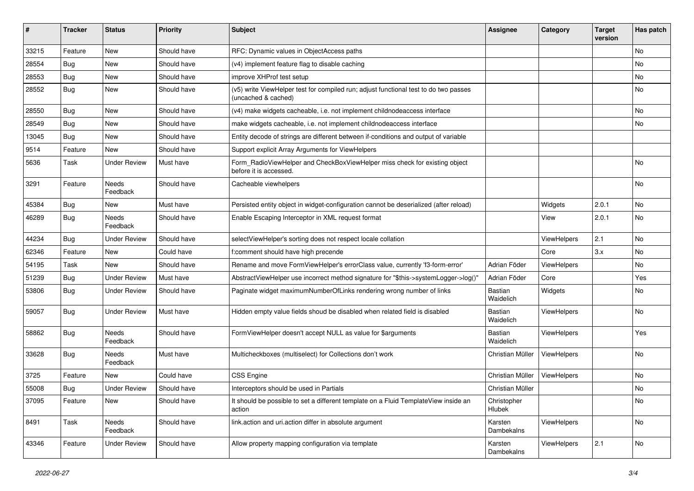| $\pmb{\#}$ | <b>Tracker</b> | <b>Status</b>       | <b>Priority</b> | <b>Subject</b>                                                                                              | <b>Assignee</b>       | Category    | <b>Target</b><br>version | Has patch |
|------------|----------------|---------------------|-----------------|-------------------------------------------------------------------------------------------------------------|-----------------------|-------------|--------------------------|-----------|
| 33215      | Feature        | <b>New</b>          | Should have     | RFC: Dynamic values in ObjectAccess paths                                                                   |                       |             |                          | <b>No</b> |
| 28554      | Bug            | New                 | Should have     | (v4) implement feature flag to disable caching                                                              |                       |             |                          | No        |
| 28553      | Bug            | New                 | Should have     | improve XHProf test setup                                                                                   |                       |             |                          | No        |
| 28552      | Bug            | New                 | Should have     | (v5) write ViewHelper test for compiled run; adjust functional test to do two passes<br>(uncached & cached) |                       |             |                          | No        |
| 28550      | Bug            | New                 | Should have     | (v4) make widgets cacheable, i.e. not implement childnodeaccess interface                                   |                       |             |                          | No        |
| 28549      | Bug            | New                 | Should have     | make widgets cacheable, i.e. not implement childnodeaccess interface                                        |                       |             |                          | No        |
| 13045      | Bug            | New                 | Should have     | Entity decode of strings are different between if-conditions and output of variable                         |                       |             |                          |           |
| 9514       | Feature        | <b>New</b>          | Should have     | Support explicit Array Arguments for ViewHelpers                                                            |                       |             |                          |           |
| 5636       | Task           | <b>Under Review</b> | Must have       | Form RadioViewHelper and CheckBoxViewHelper miss check for existing object<br>before it is accessed.        |                       |             |                          | No        |
| 3291       | Feature        | Needs<br>Feedback   | Should have     | Cacheable viewhelpers                                                                                       |                       |             |                          | No        |
| 45384      | Bug            | <b>New</b>          | Must have       | Persisted entity object in widget-configuration cannot be deserialized (after reload)                       |                       | Widgets     | 2.0.1                    | <b>No</b> |
| 46289      | Bug            | Needs<br>Feedback   | Should have     | Enable Escaping Interceptor in XML request format                                                           |                       | View        | 2.0.1                    | <b>No</b> |
| 44234      | Bug            | <b>Under Review</b> | Should have     | selectViewHelper's sorting does not respect locale collation                                                |                       | ViewHelpers | 2.1                      | <b>No</b> |
| 62346      | Feature        | <b>New</b>          | Could have      | f:comment should have high precende                                                                         |                       | Core        | 3.x                      | <b>No</b> |
| 54195      | Task           | New                 | Should have     | Rename and move FormViewHelper's errorClass value, currently 'f3-form-error'                                | Adrian Föder          | ViewHelpers |                          | No        |
| 51239      | Bug            | <b>Under Review</b> | Must have       | AbstractViewHelper use incorrect method signature for "\$this->systemLogger->log()"                         | Adrian Föder          | Core        |                          | Yes       |
| 53806      | Bug            | <b>Under Review</b> | Should have     | Paginate widget maximumNumberOfLinks rendering wrong number of links                                        | Bastian<br>Waidelich  | Widgets     |                          | No        |
| 59057      | Bug            | <b>Under Review</b> | Must have       | Hidden empty value fields shoud be disabled when related field is disabled                                  | Bastian<br>Waidelich  | ViewHelpers |                          | <b>No</b> |
| 58862      | Bug            | Needs<br>Feedback   | Should have     | FormViewHelper doesn't accept NULL as value for \$arguments                                                 | Bastian<br>Waidelich  | ViewHelpers |                          | Yes       |
| 33628      | Bug            | Needs<br>Feedback   | Must have       | Multicheckboxes (multiselect) for Collections don't work                                                    | Christian Müller      | ViewHelpers |                          | No        |
| 3725       | Feature        | New                 | Could have      | <b>CSS Engine</b>                                                                                           | Christian Müller      | ViewHelpers |                          | No        |
| 55008      | Bug            | <b>Under Review</b> | Should have     | Interceptors should be used in Partials                                                                     | Christian Müller      |             |                          | No        |
| 37095      | Feature        | New                 | Should have     | It should be possible to set a different template on a Fluid TemplateView inside an<br>action               | Christopher<br>Hlubek |             |                          | No        |
| 8491       | Task           | Needs<br>Feedback   | Should have     | link.action and uri.action differ in absolute argument                                                      | Karsten<br>Dambekalns | ViewHelpers |                          | No        |
| 43346      | Feature        | <b>Under Review</b> | Should have     | Allow property mapping configuration via template                                                           | Karsten<br>Dambekalns | ViewHelpers | 2.1                      | No        |